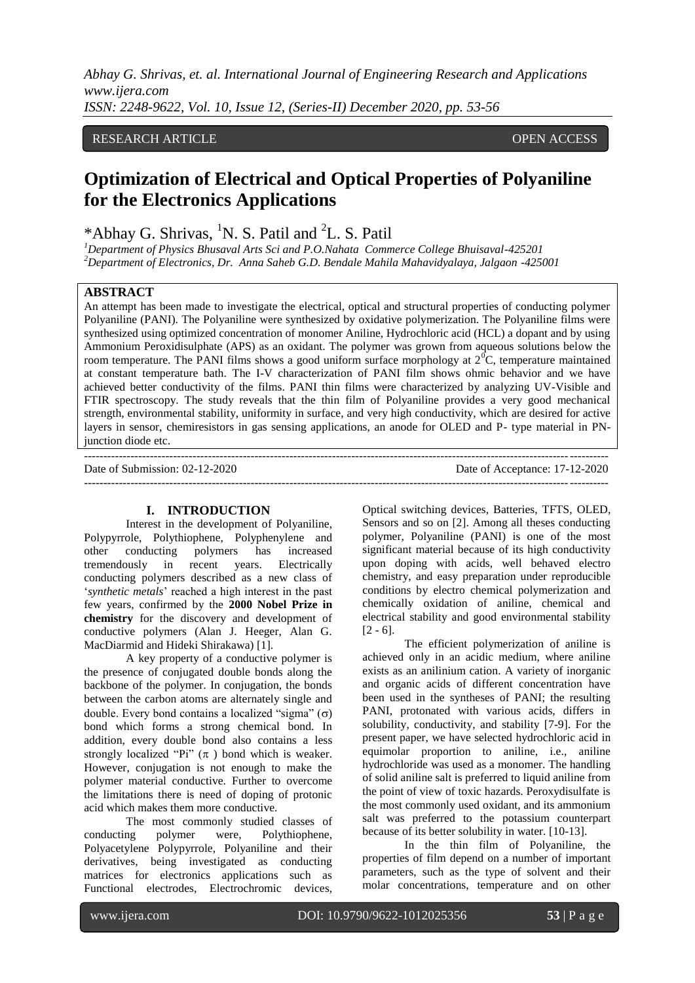*Abhay G. Shrivas, et. al. International Journal of Engineering Research and Applications www.ijera.com ISSN: 2248-9622, Vol. 10, Issue 12, (Series-II) December 2020, pp. 53-56*

# RESEARCH ARTICLE **CONSERVERS** OPEN ACCESS

# **Optimization of Electrical and Optical Properties of Polyaniline for the Electronics Applications**

\*Abhay G. Shrivas, <sup>1</sup>N. S. Patil and <sup>2</sup>L. S. Patil

*<sup>1</sup>Department of Physics Bhusaval Arts Sci and P.O.Nahata Commerce College Bhuisaval-425201 <sup>2</sup>Department of Electronics, Dr. Anna Saheb G.D. Bendale Mahila Mahavidyalaya, Jalgaon -425001*

### **ABSTRACT**

An attempt has been made to investigate the electrical, optical and structural properties of conducting polymer Polyaniline (PANI). The Polyaniline were synthesized by oxidative polymerization. The Polyaniline films were synthesized using optimized concentration of monomer Aniline, Hydrochloric acid (HCL) a dopant and by using Ammonium Peroxidisulphate (APS) as an oxidant. The polymer was grown from aqueous solutions below the room temperature. The PANI films shows a good uniform surface morphology at  $2^{0}C$ , temperature maintained at constant temperature bath. The I-V characterization of PANI film shows ohmic behavior and we have achieved better conductivity of the films. PANI thin films were characterized by analyzing UV-Visible and FTIR spectroscopy. The study reveals that the thin film of Polyaniline provides a very good mechanical strength, environmental stability, uniformity in surface, and very high conductivity, which are desired for active layers in sensor, chemiresistors in gas sensing applications, an anode for OLED and P- type material in PNjunction diode etc.

--------------------------------------------------------------------------------------------------------------------------------------- Date of Submission: 02-12-2020 ---------------------------------------------------------------------------------------------------------------------------------------

#### **I. INTRODUCTION**

Interest in the development of Polyaniline, Polypyrrole, Polythiophene, Polyphenylene and other conducting polymers has increased tremendously in recent years. Electrically conducting polymers described as a new class of "*synthetic metals*" reached a high interest in the past few years, confirmed by the **2000 Nobel Prize in chemistry** for the discovery and development of conductive polymers (Alan J. Heeger, Alan G. MacDiarmid and Hideki Shirakawa) [1].

A key property of a conductive polymer is the presence of conjugated double bonds along the backbone of the polymer. In conjugation, the bonds between the carbon atoms are alternately single and double. Every bond contains a localized "sigma"  $(\sigma)$ bond which forms a strong chemical bond. In addition, every double bond also contains a less strongly localized "Pi"  $(\pi)$  bond which is weaker. However, conjugation is not enough to make the polymer material conductive. Further to overcome the limitations there is need of doping of protonic acid which makes them more conductive.

The most commonly studied classes of conducting polymer were, Polythiophene, Polyacetylene Polypyrrole, Polyaniline and their derivatives, being investigated as conducting matrices for electronics applications such as Functional electrodes, Electrochromic devices,

Optical switching devices, Batteries, TFTS, OLED, Sensors and so on [2]. Among all theses conducting polymer, Polyaniline (PANI) is one of the most significant material because of its high conductivity upon doping with acids, well behaved electro chemistry, and easy preparation under reproducible conditions by electro chemical polymerization and chemically oxidation of aniline, chemical and electrical stability and good environmental stability  $[2 - 6]$ .

The efficient polymerization of aniline is achieved only in an acidic medium, where aniline exists as an anilinium cation. A variety of inorganic and organic acids of different concentration have been used in the syntheses of PANI; the resulting PANI, protonated with various acids, differs in solubility, conductivity, and stability [7-9]. For the present paper, we have selected hydrochloric acid in equimolar proportion to aniline, i.e., aniline hydrochloride was used as a monomer. The handling of solid aniline salt is preferred to liquid aniline from the point of view of toxic hazards. Peroxydisulfate is the most commonly used oxidant, and its ammonium salt was preferred to the potassium counterpart because of its better solubility in water. [10-13].

In the thin film of Polyaniline, the properties of film depend on a number of important parameters, such as the type of solvent and their molar concentrations, temperature and on other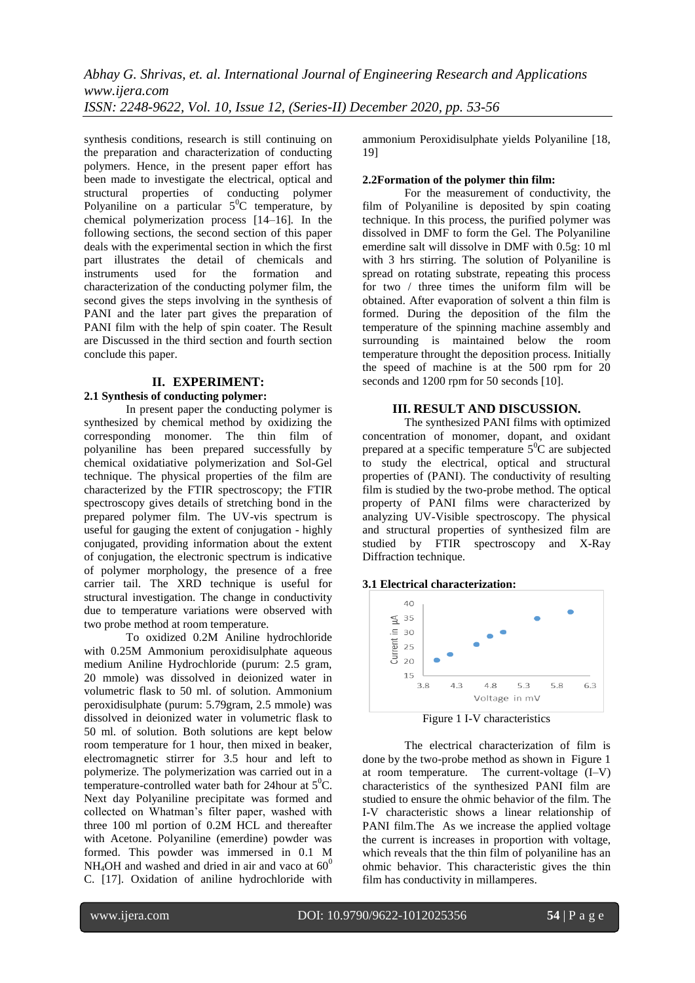synthesis conditions, research is still continuing on the preparation and characterization of conducting polymers. Hence, in the present paper effort has been made to investigate the electrical, optical and structural properties of conducting polymer Polyaniline on a particular  $5^{\circ}$ C temperature, by chemical polymerization process [14–16]*.* In the following sections, the second section of this paper deals with the experimental section in which the first part illustrates the detail of chemicals and instruments used for the formation and characterization of the conducting polymer film, the second gives the steps involving in the synthesis of PANI and the later part gives the preparation of PANI film with the help of spin coater. The Result are Discussed in the third section and fourth section conclude this paper.

## **II. EXPERIMENT:**

# **2.1 Synthesis of conducting polymer:**

In present paper the conducting polymer is synthesized by chemical method by oxidizing the corresponding monomer. The thin film of polyaniline has been prepared successfully by chemical oxidatiative polymerization and Sol-Gel technique. The physical properties of the film are characterized by the FTIR spectroscopy; the FTIR spectroscopy gives details of stretching bond in the prepared polymer film. The UV-vis spectrum is useful for gauging the extent of conjugation - highly conjugated, providing information about the extent of conjugation, the electronic spectrum is indicative of polymer morphology, the presence of a free carrier tail. The XRD technique is useful for structural investigation. The change in conductivity due to temperature variations were observed with two probe method at room temperature.

To oxidized 0.2M Aniline hydrochloride with 0.25M Ammonium peroxidisulphate aqueous medium Aniline Hydrochloride (purum: 2.5 gram, 20 mmole) was dissolved in deionized water in volumetric flask to 50 ml. of solution. Ammonium peroxidisulphate (purum: 5.79gram, 2.5 mmole) was dissolved in deionized water in volumetric flask to 50 ml. of solution. Both solutions are kept below room temperature for 1 hour, then mixed in beaker, electromagnetic stirrer for 3.5 hour and left to polymerize. The polymerization was carried out in a temperature-controlled water bath for 24 hour at  $5^0C$ . Next day Polyaniline precipitate was formed and collected on Whatman"s filter paper, washed with three 100 ml portion of 0.2M HCL and thereafter with Acetone. Polyaniline (emerdine) powder was formed. This powder was immersed in 0.1 M  $NH<sub>4</sub>OH$  and washed and dried in air and vaco at  $60^0$ C. [17]. Oxidation of aniline hydrochloride with

ammonium Peroxidisulphate yields Polyaniline [18, 19]

## **2.2Formation [of the polymer](file:///G:\p2008\paper%20photo.docx) thin film:**

For the measurement of conductivity, the film of Polyaniline is deposited by spin coating technique. In this process, the purified polymer was dissolved in DMF to form the Gel. The Polyaniline emerdine salt will dissolve in DMF with 0.5g: 10 ml with 3 hrs stirring. The solution of Polyaniline is spread on rotating substrate, repeating this process for two / three times the uniform film will be obtained. After evaporation of solvent a thin film is formed. During the deposition of the film the temperature of the spinning machine assembly and surrounding is maintained below the room temperature throught the deposition process. Initially the speed of machine is at the 500 rpm for 20 seconds and 1200 rpm for 50 seconds [10].

# **III. RESULT AND DISCUSSION.**

The synthesized PANI films with optimized concentration of monomer, dopant, and oxidant prepared at a specific temperature  $5^{\circ}$ C are subjected to study the electrical, optical and structural properties of (PANI). The conductivity of resulting film is studied by the two-probe method. The optical property of PANI films were characterized by analyzing UV-Visible spectroscopy. The physical and structural properties of synthesized film are studied by FTIR spectroscopy and X-Ray Diffraction technique.

## **3.1 Electrical characterization:**



Figure 1 I-V characteristics

The electrical characterization of film is done by the two-probe method as shown in Figure 1 at room temperature. The current-voltage (I–V) characteristics of the synthesized PANI film are studied to ensure the ohmic behavior of the film. The I-V characteristic shows a linear relationship of PANI film.The As we increase the applied voltage the current is increases in proportion with voltage, which reveals that the thin film of polyaniline has an ohmic behavior. This characteristic gives the thin film has conductivity in millamperes.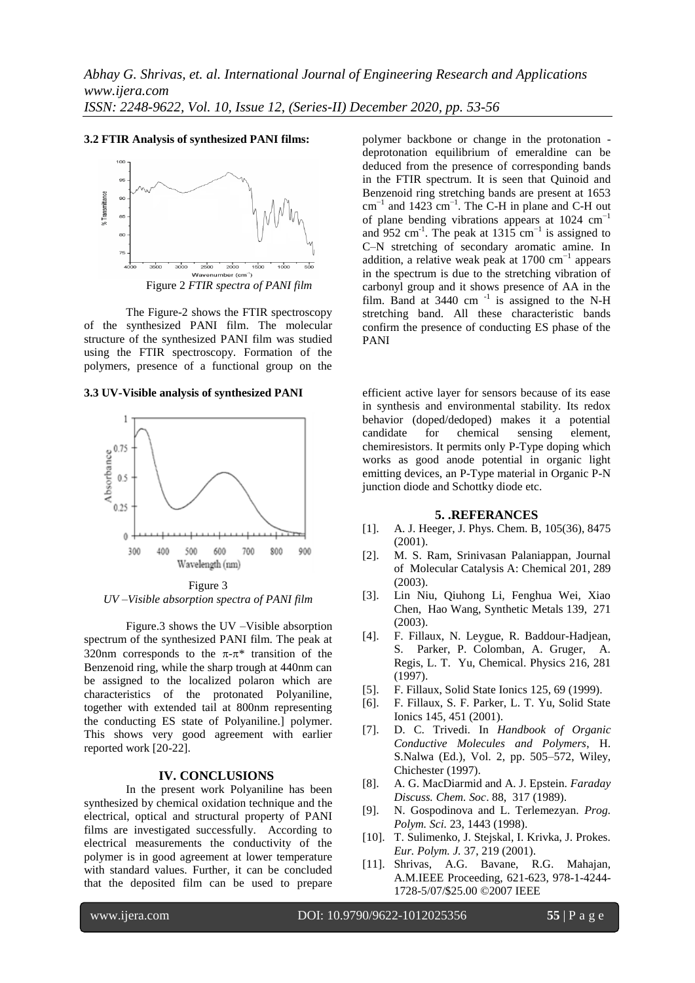# **3.2 FTIR Analysis of synthesized PANI films:**



The Figure-2 shows the FTIR spectroscopy of the synthesized PANI film. The molecular structure of the synthesized PANI film was studied using the FTIR spectroscopy. Formation of the polymers, presence of a functional group on the

**3.3 UV-Visible analysis of synthesized PANI** 



Figure 3 *UV –Visible absorption spectra of PANI film*

Figure.3 shows the UV –Visible absorption spectrum of the synthesized PANI film. The peak at 320nm corresponds to the  $\pi$ - $\pi$ <sup>\*</sup> transition of the Benzenoid ring, while the sharp trough at 440nm can be assigned to the localized polaron which are characteristics of the protonated Polyaniline, together with extended tail at 800nm representing the conducting ES state of Polyaniline.] polymer. This shows very good agreement with earlier reported work [20-22].

### **IV. CONCLUSIONS**

In the present work Polyaniline has been synthesized by chemical oxidation technique and the electrical, optical and structural property of PANI films are investigated successfully. According to electrical measurements the conductivity of the polymer is in good agreement at lower temperature with standard values. Further, it can be concluded that the deposited film can be used to prepare

polymer backbone or change in the protonation deprotonation equilibrium of emeraldine can be deduced from the presence of corresponding bands in the FTIR spectrum. It is seen that Quinoid and Benzenoid ring stretching bands are present at 1653 cm<sup>-1</sup> and 1423 cm<sup>-1</sup>. The C-H in plane and C-H out of plane bending vibrations appears at  $1024 \text{ cm}^{-1}$ and 952 cm<sup>-1</sup>. The peak at 1315 cm<sup>-1</sup> is assigned to C–N stretching of secondary aromatic amine. In addition, a relative weak peak at  $1700 \text{ cm}^{-1}$  appears in the spectrum is due to the stretching vibration of carbonyl group and it shows presence of AA in the film. Band at  $3440$  cm<sup>-1</sup> is assigned to the N-H stretching band. All these characteristic bands confirm the presence of conducting ES phase of the PANI

efficient active layer for sensors because of its ease in synthesis and environmental stability. Its redox behavior (doped/dedoped) makes it a potential candidate for chemical sensing element, chemiresistors. It permits only P-Type doping which works as good anode potential in organic light emitting devices, an P-Type material in Organic P-N junction diode and Schottky diode etc.

#### **5. .REFERANCES**

- [1]. A. J. Heeger, J. Phys. Chem. B, 105(36), 8475 (2001).
- [2]. M. S. Ram, Srinivasan Palaniappan, Journal of Molecular Catalysis A: Chemical 201, 289 (2003).
- [3]. Lin Niu, Qiuhong Li, Fenghua Wei, Xiao Chen, Hao Wang, Synthetic Metals 139, 271 (2003).
- [4]. F. Fillaux, N. Leygue, R. Baddour-Hadjean, S. Parker, P. Colomban, A. Gruger, A. Regis, L. T. Yu, Chemical. Physics 216, 281 (1997).
- [5]. F. Fillaux, Solid State Ionics 125, 69 (1999).
- [6]. F. Fillaux, S. F. Parker, L. T. Yu, Solid State Ionics 145, 451 (2001).
- [7]. D. C. Trivedi. In *Handbook of Organic Conductive Molecules and Polymers*, H. S.Nalwa (Ed.), Vol. 2, pp. 505–572, Wiley, Chichester (1997).
- [8]. A. G. MacDiarmid and A. J. Epstein. *Faraday Discuss. Chem. Soc*. 88, 317 (1989).
- [9]. N. Gospodinova and L. Terlemezyan. *Prog. Polym. Sci.* 23, 1443 (1998).
- [10]. T. Sulimenko, J. Stejskal, I. Krivka, J. Prokes. *Eur. Polym. J.* 37, 219 (2001).
- [11]. Shrivas, A.G. Bavane, R.G. Mahajan, A.M.IEEE Proceeding, 621-623, 978-1-4244- 1728-5/07/\$25.00 ©2007 IEEE